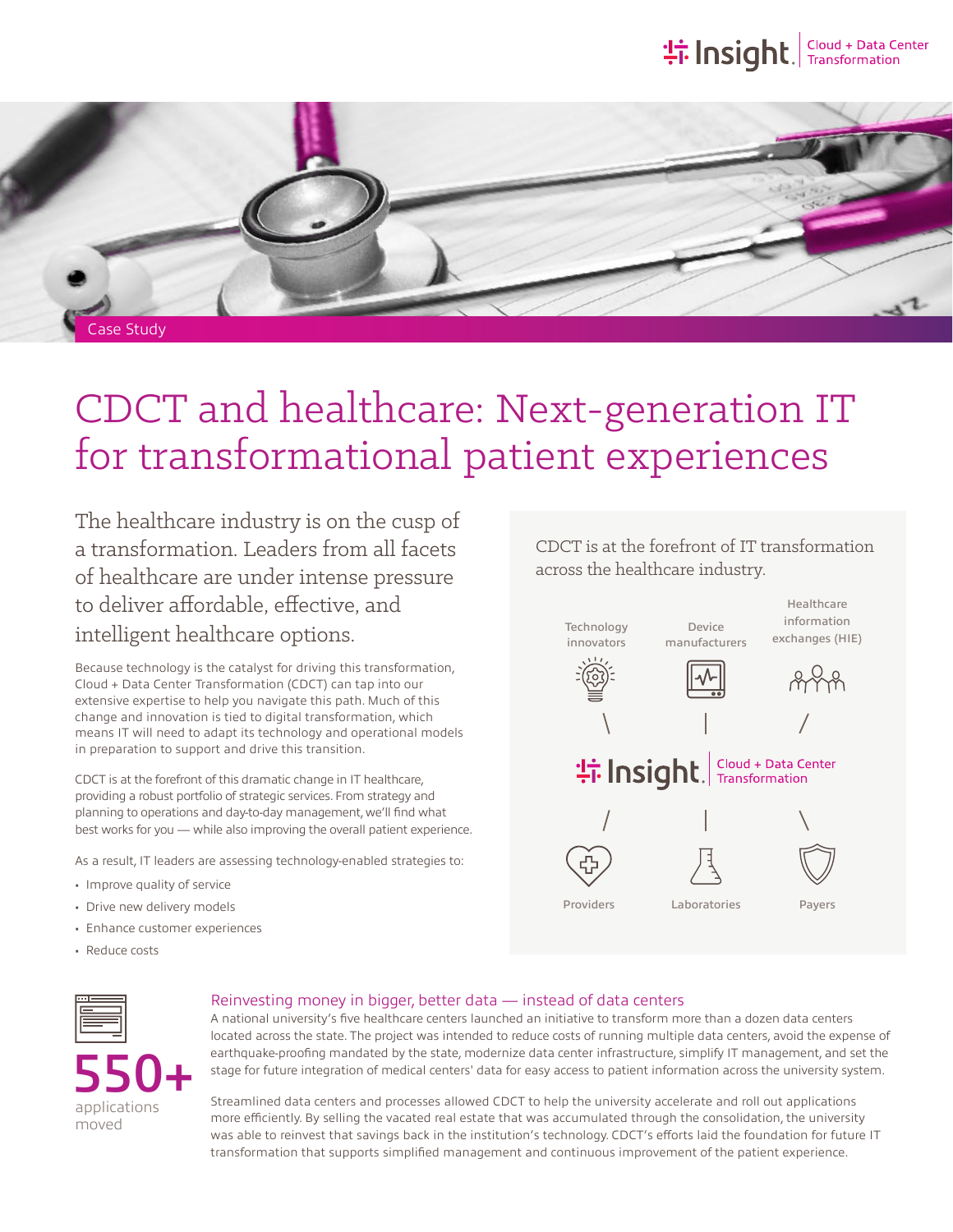## **the Insight**, Transformation



# CDCT and healthcare: Next-generation IT for transformational patient experiences

The healthcare industry is on the cusp of a transformation. Leaders from all facets of healthcare are under intense pressure to deliver affordable, effective, and intelligent healthcare options.

Because technology is the catalyst for driving this transformation, Cloud + Data Center Transformation (CDCT) can tap into our extensive expertise to help you navigate this path. Much of this change and innovation is tied to digital transformation, which means IT will need to adapt its technology and operational models in preparation to support and drive this transition.

CDCT is at the forefront of this dramatic change in IT healthcare, providing a robust portfolio of strategic services. From strategy and planning to operations and day-to-day management, we'll find what best works for you — while also improving the overall patient experience.

As a result, IT leaders are assessing technology-enabled strategies to:

- Improve quality of service
- Drive new delivery models
- Enhance customer experiences
- Reduce costs

CDCT is at the forefront of IT transformation across the healthcare industry.





#### Reinvesting money in bigger, better data — instead of data centers

A national university's five healthcare centers launched an initiative to transform more than a dozen data centers located across the state. The project was intended to reduce costs of running multiple data centers, avoid the expense of earthquake-proofing mandated by the state, modernize data center infrastructure, simplify IT management, and set the stage for future integration of medical centers' data for easy access to patient information across the university system.

applications moved 550+

Streamlined data centers and processes allowed CDCT to help the university accelerate and roll out applications more efficiently. By selling the vacated real estate that was accumulated through the consolidation, the university was able to reinvest that savings back in the institution's technology. CDCT's efforts laid the foundation for future IT transformation that supports simplified management and continuous improvement of the patient experience.